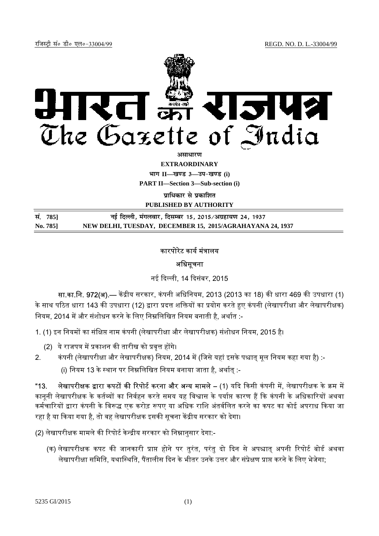

*<u>amanum</u>* 

**EXTRAORDINARY**

 $4$ **HI<sup>T</sup> II—**<br>*E***urgus 3—34-**<br>**Eurgus** (i)

**PART II—Section 3—Sub-section (i)** 

**<u>पाधिकार से पकाशित</u>** 

**PUBLISHED BY AUTHORITY**

| सं. 785] | नई दिल्ली, मंगलवार, दिसम्बर 15, 2015/अग्रहायण 24, 1937    |
|----------|-----------------------------------------------------------|
| No. 785] | NEW DELHI, TUESDAY, DECEMBER 15, 2015/AGRAHAYANA 24, 1937 |

# कारपोरेट कार्य मंत्रालय

# अधिसूचना

नई ᳰद᭨ली, 14 ᳰदसंबर, 2015

सा.का.नि. 972(अ).— केंद्रीय सरकार, कंपनी अधिनियम, 2013 (2013 का 18) की धारा 469 की उपधारा (1) के साथ पठित धारा 143 की उपधारा (12) द्वारा प्रदत्त शक्तियों का प्रयोग करते हुए कंपनी (लेखापरीक्षा और लेखापरीक्षक) त्रियम, 2014 में और संशोधन करने के लिए निम्नलिखित नियम बनाती है, अर्थात :-

1. (1) इन नियमों का संक्षिप्त नाम कंपनी (लेखापरीक्षा और लेखापरीक्षक) संशोधन नियम, 2015 है।

- (2) ये राजपत्र में प्रकाशन की तारीख को प्रवृत्त होंगे।
- 2. कंपनी (लेखापरीक्षा और लेखापरीक्षक) नियम, 2014 में (जिसे यहां इसके पश्चात् मूल नियम कहा गया है) :-(i) नियम 13 के स्थान पर निम्नलिखित नियम बनाया जाता है, अर्थात् :-

"13. लेखापरीक्षक द्वारा कपटों की रिपोर्ट करना और अन्य मामले – (1) यदि किसी कंपनी में, लेखापरीक्षक के क्रम में काननी लेखापरीक्षक के कर्तव्यों का निर्वहन करते समय यह विश्वास के पर्याप्त कारण हैं कि कंपनी के अधिकारियों अथवा कर्मचारियों द्वारा कंपनी के विरूद्ध एक करोड़ रूपए या अधिक राशि अंतर्वलित करने का कपट का कोई अपराध किया जा रहा है या किया गया है, तो वह लेखापरीक्षक इसकी सूचना केंद्रीय सरकार को देगा।

(2) लेखापरीक्षक मामले की रिपोर्ट केन्द्रीय सरकार को निम्नानुसार देगा:-

(क) लेखापरीक्षक कपट की जानकारी प्राप्त होने पर तुरंत, परंतु दो दिन से अपश्चात् अपनी रिपोर्ट बोर्ड अथवा लेखापरीक्षा समिति, यथास्थिति, पैंतालीस दिन के भीतर उनके उत्तर और संप्रेक्षण प्राप्त करने के लिए भेजेगा: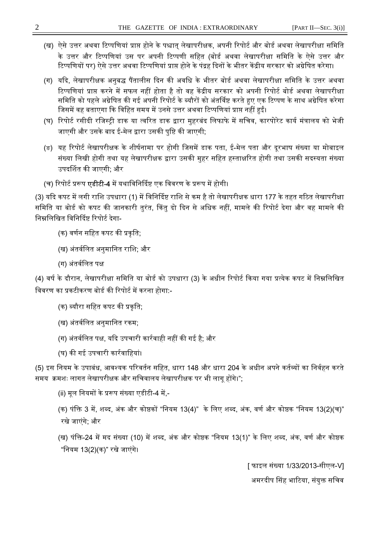- (ख) ऐसे उत्तर अथवा टिप्पणियां प्राप्त होने के पश्चात लेखापरीक्षक, अपनी रिपोर्ट और बोर्ड अथवा लेखापरीक्षा समिति के उत्तर और टिप्पणियां उस पर अपनी टिप्पणी सहित (बोर्ड अथवा लेखापरीक्षा समिति के ऐसे उत्तर और टिप्पणियों पर) ऐसे उत्तर अथवा टिप्पणियां प्राप्त होने के पंद्रह दिनों के भीतर केंद्रीय सरकार को अग्रेषित करेगा।
- (ग) यदि, लेखापरीक्षक अनुबद्ध पैंतालीस दिन की अवधि के भीतर बोर्ड अथवा लेखापरीक्षा समिति के उत्तर अथवा टिप्पणियां प्राप्त करने में सफल नहीं होता है तो वह केंद्रीय सरकार को अपनी रिपोर्ट बोर्ड अथवा लेखापरीक्षा समिति को पहले अग्रेषित की गई अपनी रिपोर्ट के ब्यौरों को अंतर्विष्ट करते हुए एक टिप्पण के साथ अग्रेषित करेगा जिसमें वह बताएगा कि विहित समय में उनसे उत्तर अथवा टिप्पणियां प्राप्त नहीं हुईं।
- (घ) रिपोर्ट रसीदी रजिस्ट्री डाक या त्वरित डाक द्वारा मुहरबंद लिफाफे में सचिव, कारपोरेट कार्य मंत्रालय को भेजी जाएगी और उसके बाद ई-मेल द्वारा उसकी पुष्टि की जाएगी;
- (ङ) यह रिपोर्ट लेखापरीक्षक के शीर्षनामा पर होगी जिसमें डाक पता, ई-मेल पता और दूरभाष संख्या या मोबाइल संख्या लिखी होगी तथा यह लेखापरीक्षक द्वारा उसकी मुहर सहित हस्ताक्षरित होगी तथा उसकी सदस्यता संख्या उपदर्शित की जाएगी; और
- (च) रिपोर्ट प्ररूप **एडीटी-4** में यथाविनिर्दिष्ट एक विवरण के प्ररूप में होगी।

(3) यदि कपट में लगी राशि उपधारा (1) में विनिर्दिष्ट राशि से कम है तो लेखापरीक्षक धारा 177 के तहत गठित लेखापरीक्षा समिति या बोर्ड को कपट की जानकारी तुरंत, किंतु दो दिन से अधिक नहीं, मामले की रिपोर्ट देगा और वह मामले की निम्नलिखित विनिर्दिष्ट रिपोर्ट देगा-

- (क) वर्णन सहित कपट की प्रकृति:
- (ख) अंतर्वलित अनुमानित राशि; और
- (ग) अंतर्वलित पक्ष

(4) वर्ष के दौरान, लेखापरीक्षा समिति या बोर्ड को उपधारा (3) के अधीन रिपोर्ट किया गया प्रत्येक कपट में निम्नलिखित विवरण का प्रकटीकरण बोर्ड की रिपोर्ट में करना होगा:-

- (क) ब्यौरा सहित कपट की प्रकृति;
- (ख) अंतर्वलित अनुमानित रकम;
- (ग) अंतर्वलित पक्ष, यदि उपचारी कार्रवाही नहीं की गई है; और
- (घ) की गई उपचारी कार्रवाहियां।

(5) इस नियम के उपाबंध, आवश्यक परिवर्तन सहित, धारा 148 और धारा 204 के अधीन अपने कर्तव्यों का निर्वहन करते समय क्रमशः लागत लेखापरीक्षक और सचिवालय लेखापरीक्षक पर भी लागृ होंगे।";

(ii) मूल नियमों के प्ररूप संख्या एडीटी-4 में,-

(क) पंक्ति 3 में, शब्द, अंक और कोष्ठकों "नियम 13(4)" के लिए शब्द, अंक, वर्ण और कोष्ठक "नियम 13(2)(च)" रखे जाएंगे; और

(ख) पंक्ति-24 में मद संख्या (10) में शब्द, अंक और कोष्ठक "नियम 13(1)" के लिए शब्द, अंक, वर्ण और कोष्ठक "िनयम 13(2)(क)" रखे जाएंगे।

> [ फाइल संया 1/33/2013-सीएल-V] अमरदीप सिंह भाटिया, संयुक्त सचिव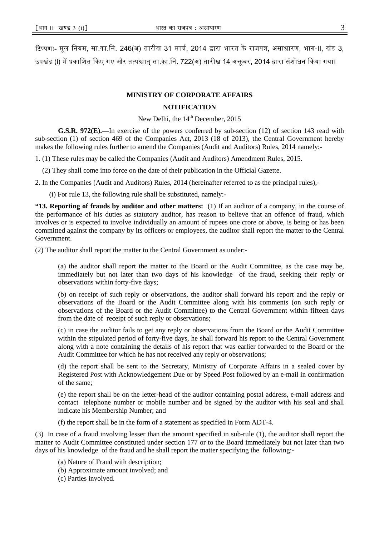**टिप्पणः-** मूल नियम, सा.का.नि. 246(अ) तारीख 31 मार्च, 2014 द्वारा भारत के राजपत्र, असाधारण, भाग-II, खंड 3, उपखंड (i) में प्रकाशित किए गए और तत्पश्चात् सा.का.नि. 722(अ) तारीख 14 अक्तूबर, 2014 द्वारा संशोधन किया गया।

### **MINISTRY OF CORPORATE AFFAIRS**

#### **NOTIFICATION**

New Delhi, the  $14<sup>th</sup>$  December, 2015

**G.S.R. 972(E).—**In exercise of the powers conferred by sub-section (12) of section 143 read with sub-section (1) of section 469 of the Companies Act, 2013 (18 of 2013), the Central Government hereby makes the following rules further to amend the Companies (Audit and Auditors) Rules, 2014 namely:-

1. (1) These rules may be called the Companies (Audit and Auditors) Amendment Rules, 2015.

(2) They shall come into force on the date of their publication in the Official Gazette.

2. In the Companies (Audit and Auditors) Rules, 2014 (hereinafter referred to as the principal rules),-

(i) For rule 13, the following rule shall be substituted, namely:-

**"13. Reporting of frauds by auditor and other matters:** (1) If an auditor of a company, in the course of the performance of his duties as statutory auditor, has reason to believe that an offence of fraud, which involves or is expected to involve individually an amount of rupees one crore or above, is being or has been committed against the company by its officers or employees, the auditor shall report the matter to the Central Government.

(2) The auditor shall report the matter to the Central Government as under:-

(a) the auditor shall report the matter to the Board or the Audit Committee, as the case may be, immediately but not later than two days of his knowledge of the fraud, seeking their reply or observations within forty-five days;

(b) on receipt of such reply or observations, the auditor shall forward his report and the reply or observations of the Board or the Audit Committee along with his comments (on such reply or observations of the Board or the Audit Committee) to the Central Government within fifteen days from the date of receipt of such reply or observations;

(c) in case the auditor fails to get any reply or observations from the Board or the Audit Committee within the stipulated period of forty-five days, he shall forward his report to the Central Government along with a note containing the details of his report that was earlier forwarded to the Board or the Audit Committee for which he has not received any reply or observations;

(d) the report shall be sent to the Secretary, Ministry of Corporate Affairs in a sealed cover by Registered Post with Acknowledgement Due or by Speed Post followed by an e-mail in confirmation of the same;

(e) the report shall be on the letter-head of the auditor containing postal address, e-mail address and contact telephone number or mobile number and be signed by the auditor with his seal and shall indicate his Membership Number; and

(f) the report shall be in the form of a statement as specified in Form ADT-4.

(3) In case of a fraud involving lesser than the amount specified in sub-rule (1), the auditor shall report the matter to Audit Committee constituted under section 177 or to the Board immediately but not later than two days of his knowledge of the fraud and he shall report the matter specifying the following:-

- (a) Nature of Fraud with description;
- (b) Approximate amount involved; and
- (c) Parties involved.